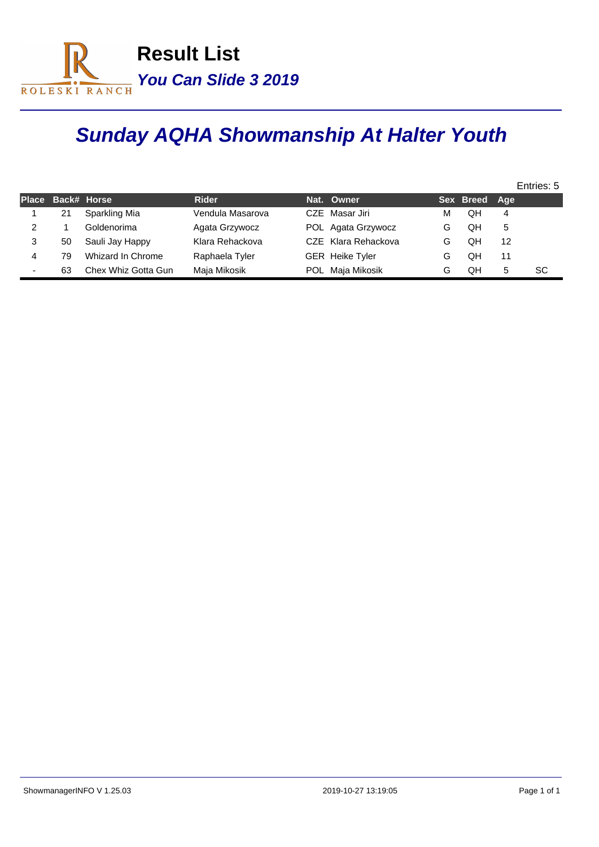

## **Sunday AQHA Showmanship At Halter Youth**

|   |                   |                     |                  |                        |   |               |    | Entries: 5 |
|---|-------------------|---------------------|------------------|------------------------|---|---------------|----|------------|
|   | Place Back# Horse |                     | <b>Rider</b>     | Nat. Owner             |   | Sex Breed Age |    |            |
|   | 21                | Sparkling Mia       | Vendula Masarova | CZE Masar Jiri         | м | QΗ            | 4  |            |
|   |                   | Goldenorima         | Agata Grzywocz   | POL Agata Grzywocz     | G | QH            | 5  |            |
| 3 | 50                | Sauli Jay Happy     | Klara Rehackova  | CZE Klara Rehackova    | G | QH            | 12 |            |
| 4 | 79                | Whizard In Chrome   | Raphaela Tyler   | <b>GER</b> Heike Tyler | G | QH            | 11 |            |
|   | 63                | Chex Whiz Gotta Gun | Maja Mikosik     | POL Maja Mikosik       | G | QΗ            | 5  | SC         |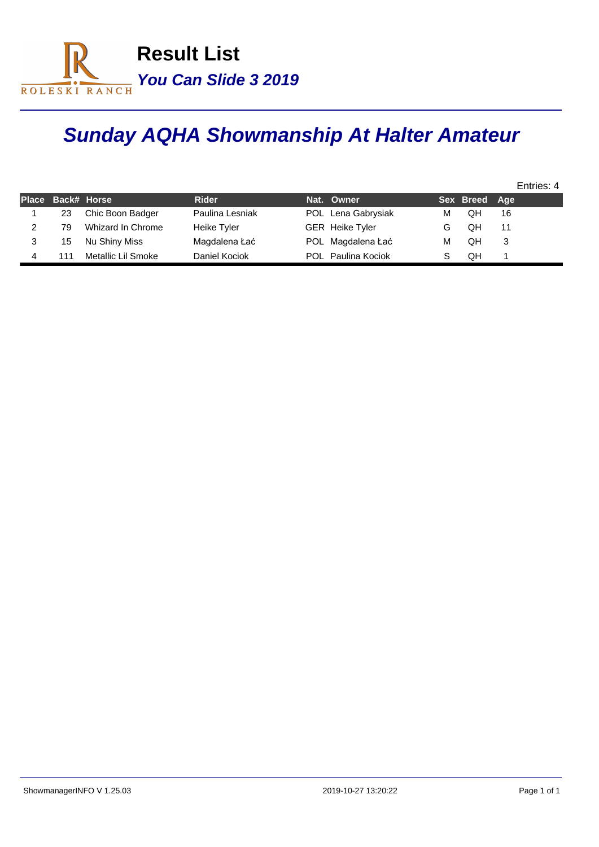

## **Sunday AQHA Showmanship At Halter Amateur**

|    |                    |                 |                        |   |               | Entries: 4 |  |
|----|--------------------|-----------------|------------------------|---|---------------|------------|--|
|    | Place Back# Horse  | <b>Rider</b>    | Nat. Owner             |   | Sex Breed Age |            |  |
| 23 | Chic Boon Badger   | Paulina Lesniak | POL Lena Gabrysiak     | м | QH            | 16         |  |
| 79 | Whizard In Chrome  | Heike Tyler     | <b>GER</b> Heike Tyler | G | OΗ            | 11         |  |
| 15 | Nu Shiny Miss      | Magdalena Łać   | POL Magdalena Łać      | М | OН            |            |  |
|    | Metallic Lil Smoke | Daniel Kociok   | POL Paulina Kociok     |   | OΗ            |            |  |